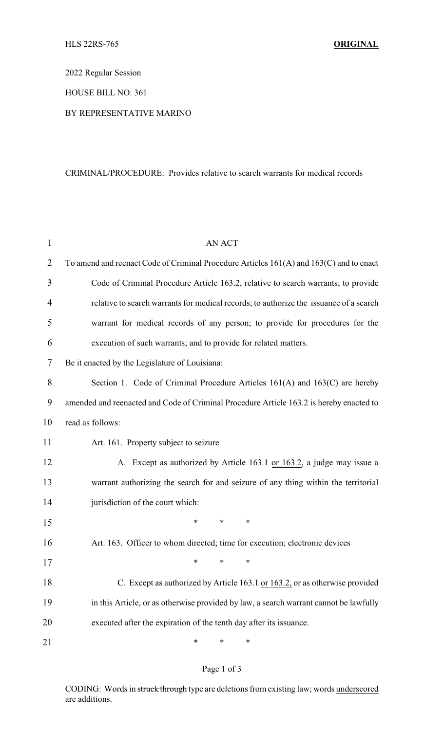2022 Regular Session

HOUSE BILL NO. 361

## BY REPRESENTATIVE MARINO

## CRIMINAL/PROCEDURE: Provides relative to search warrants for medical records

| 1              | <b>AN ACT</b>                                                                           |
|----------------|-----------------------------------------------------------------------------------------|
| $\overline{2}$ | To amend and reenact Code of Criminal Procedure Articles 161(A) and 163(C) and to enact |
| 3              | Code of Criminal Procedure Article 163.2, relative to search warrants; to provide       |
| 4              | relative to search warrants for medical records; to authorize the issuance of a search  |
| 5              | warrant for medical records of any person; to provide for procedures for the            |
| 6              | execution of such warrants; and to provide for related matters.                         |
| 7              | Be it enacted by the Legislature of Louisiana:                                          |
| 8              | Section 1. Code of Criminal Procedure Articles 161(A) and 163(C) are hereby             |
| 9              | amended and reenacted and Code of Criminal Procedure Article 163.2 is hereby enacted to |
| 10             | read as follows:                                                                        |
| 11             | Art. 161. Property subject to seizure                                                   |
| 12             | A. Except as authorized by Article 163.1 or 163.2, a judge may issue a                  |
| 13             | warrant authorizing the search for and seizure of any thing within the territorial      |
| 14             | jurisdiction of the court which:                                                        |
| 15             | *<br>$\ast$<br>∗                                                                        |
| 16             | Art. 163. Officer to whom directed; time for execution; electronic devices              |
| 17             | يول يول                                                                                 |
| 18             | C. Except as authorized by Article 163.1 or 163.2, or as otherwise provided             |
| 19             | in this Article, or as otherwise provided by law, a search warrant cannot be lawfully   |
| 20             | executed after the expiration of the tenth day after its issuance.                      |
| 21             | ∗<br>∗<br>∗                                                                             |

## Page 1 of 3

CODING: Words in struck through type are deletions from existing law; words underscored are additions.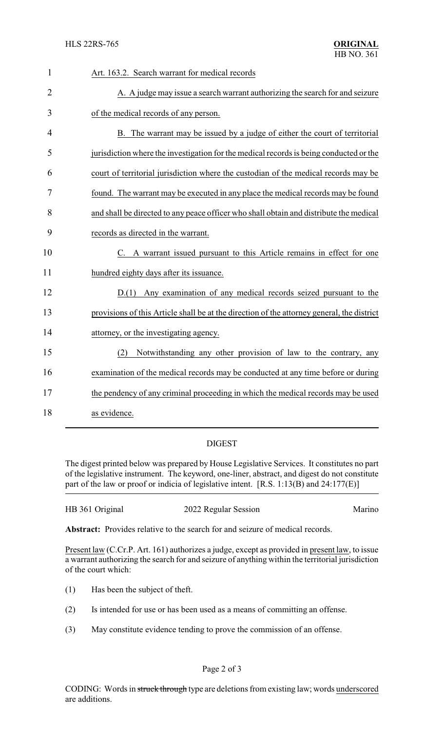| $\mathbf{1}$   | Art. 163.2. Search warrant for medical records                                             |
|----------------|--------------------------------------------------------------------------------------------|
| $\overline{2}$ | A. A judge may issue a search warrant authorizing the search for and seizure               |
| 3              | of the medical records of any person.                                                      |
| $\overline{4}$ | B. The warrant may be issued by a judge of either the court of territorial                 |
| 5              | jurisdiction where the investigation for the medical records is being conducted or the     |
| 6              | court of territorial jurisdiction where the custodian of the medical records may be        |
| 7              | found. The warrant may be executed in any place the medical records may be found           |
| 8              | and shall be directed to any peace officer who shall obtain and distribute the medical     |
| 9              | records as directed in the warrant.                                                        |
| 10             | C. A warrant issued pursuant to this Article remains in effect for one                     |
| 11             | hundred eighty days after its issuance.                                                    |
| 12             | D.(1) Any examination of any medical records seized pursuant to the                        |
| 13             | provisions of this Article shall be at the direction of the attorney general, the district |
| 14             | attorney, or the investigating agency.                                                     |
| 15             | Notwithstanding any other provision of law to the contrary, any<br>(2)                     |
| 16             | examination of the medical records may be conducted at any time before or during           |
| 17             | the pendency of any criminal proceeding in which the medical records may be used           |
| 18             | as evidence.                                                                               |

## DIGEST

The digest printed below was prepared by House Legislative Services. It constitutes no part of the legislative instrument. The keyword, one-liner, abstract, and digest do not constitute part of the law or proof or indicia of legislative intent. [R.S. 1:13(B) and 24:177(E)]

| HB 361 Original<br>2022 Regular Session | Marino |
|-----------------------------------------|--------|
|-----------------------------------------|--------|

**Abstract:** Provides relative to the search for and seizure of medical records.

Present law (C.Cr.P. Art. 161) authorizes a judge, except as provided in present law, to issue a warrant authorizing the search for and seizure of anything within the territorial jurisdiction of the court which:

- (1) Has been the subject of theft.
- (2) Is intended for use or has been used as a means of committing an offense.
- (3) May constitute evidence tending to prove the commission of an offense.